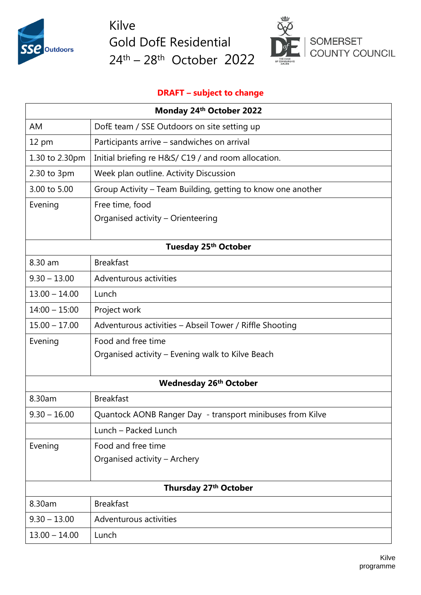

Kilve Gold DofE Residential 24<sup>th</sup> – 28<sup>th</sup> October 2022



## **DRAFT – subject to change**

| Monday 24th October 2022      |                                                             |  |
|-------------------------------|-------------------------------------------------------------|--|
| AM                            | DofE team / SSE Outdoors on site setting up                 |  |
| 12 pm                         | Participants arrive - sandwiches on arrival                 |  |
| 1.30 to 2.30pm                | Initial briefing re H&S/ C19 / and room allocation.         |  |
| 2.30 to 3pm                   | Week plan outline. Activity Discussion                      |  |
| 3.00 to 5.00                  | Group Activity - Team Building, getting to know one another |  |
| Evening                       | Free time, food                                             |  |
|                               | Organised activity - Orienteering                           |  |
| Tuesday 25th October          |                                                             |  |
| 8.30 am                       | <b>Breakfast</b>                                            |  |
| $9.30 - 13.00$                | Adventurous activities                                      |  |
| $13.00 - 14.00$               | Lunch                                                       |  |
| $14:00 - 15:00$               | Project work                                                |  |
| $15.00 - 17.00$               | Adventurous activities - Abseil Tower / Riffle Shooting     |  |
| Evening                       | Food and free time                                          |  |
|                               | Organised activity - Evening walk to Kilve Beach            |  |
| <b>Wednesday 26th October</b> |                                                             |  |
| 8.30am                        | <b>Breakfast</b>                                            |  |
| $9.30 - 16.00$                | Quantock AONB Ranger Day - transport minibuses from Kilve   |  |
|                               | Lunch - Packed Lunch                                        |  |
| Evening                       | Food and free time                                          |  |
|                               | Organised activity - Archery                                |  |
|                               |                                                             |  |
| Thursday 27th October         |                                                             |  |
| 8.30am                        | <b>Breakfast</b>                                            |  |
| $9.30 - 13.00$                | Adventurous activities                                      |  |
| $13.00 - 14.00$               | Lunch                                                       |  |